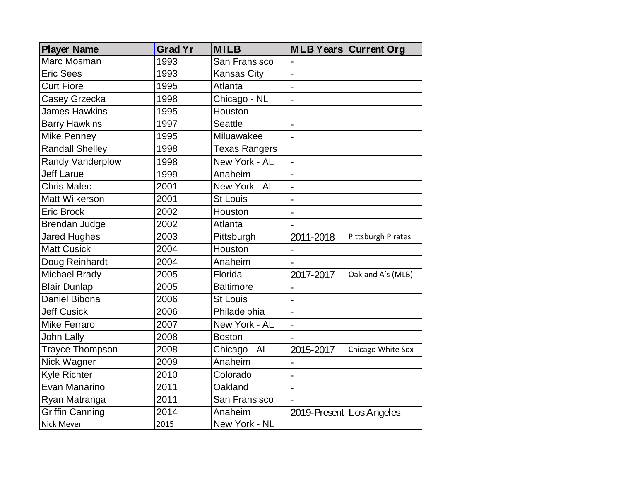| <b>Player Name</b>      | <b>Grad Yr</b> | <b>MILB</b>          |                            | <b>MLB Years Current Org</b> |
|-------------------------|----------------|----------------------|----------------------------|------------------------------|
| Marc Mosman             | 1993           | San Fransisco        |                            |                              |
| <b>Eric Sees</b>        | 1993           | <b>Kansas City</b>   |                            |                              |
| <b>Curt Fiore</b>       | 1995           | Atlanta              |                            |                              |
| Casey Grzecka           | 1998           | Chicago - NL         |                            |                              |
| <b>James Hawkins</b>    | 1995           | Houston              |                            |                              |
| <b>Barry Hawkins</b>    | 1997           | <b>Seattle</b>       |                            |                              |
| <b>Mike Penney</b>      | 1995           | Miluawakee           |                            |                              |
| <b>Randall Shelley</b>  | 1998           | <b>Texas Rangers</b> |                            |                              |
| <b>Randy Vanderplow</b> | 1998           | New York - AL        |                            |                              |
| <b>Jeff Larue</b>       | 1999           | Anaheim              |                            |                              |
| <b>Chris Malec</b>      | 2001           | New York - AL        |                            |                              |
| <b>Matt Wilkerson</b>   | 2001           | St Louis             |                            |                              |
| <b>Eric Brock</b>       | 2002           | Houston              |                            |                              |
| Brendan Judge           | 2002           | Atlanta              |                            |                              |
| <b>Jared Hughes</b>     | 2003           | Pittsburgh           | 2011-2018                  | <b>Pittsburgh Pirates</b>    |
| <b>Matt Cusick</b>      | 2004           | Houston              |                            |                              |
| Doug Reinhardt          | 2004           | Anaheim              |                            |                              |
| <b>Michael Brady</b>    | 2005           | Florida              | 2017-2017                  | Oakland A's (MLB)            |
| <b>Blair Dunlap</b>     | 2005           | <b>Baltimore</b>     |                            |                              |
| Daniel Bibona           | 2006           | <b>St Louis</b>      |                            |                              |
| <b>Jeff Cusick</b>      | 2006           | Philadelphia         |                            |                              |
| <b>Mike Ferraro</b>     | 2007           | New York - AL        |                            |                              |
| John Lally              | 2008           | <b>Boston</b>        |                            |                              |
| <b>Trayce Thompson</b>  | 2008           | Chicago - AL         | 2015-2017                  | Chicago White Sox            |
| Nick Wagner             | 2009           | Anaheim              |                            |                              |
| Kyle Richter            | 2010           | Colorado             |                            |                              |
| Evan Manarino           | 2011           | Oakland              |                            |                              |
| Ryan Matranga           | 2011           | San Fransisco        |                            |                              |
| <b>Griffin Canning</b>  | 2014           | Anaheim              | 2019-Present   Los Angeles |                              |
| Nick Meyer              | 2015           | New York - NL        |                            |                              |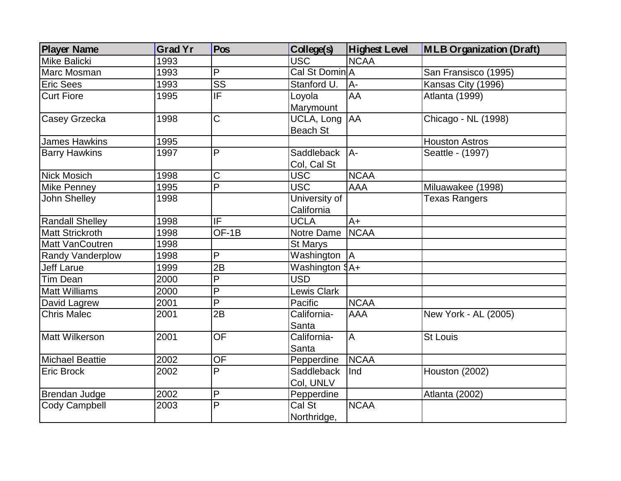| <b>Player Name</b>     | <b>Grad Yr</b> | Pos                      | <b>College(s)</b>  | <b>Highest Level</b> | <b>MLB Organization (Draft)</b> |
|------------------------|----------------|--------------------------|--------------------|----------------------|---------------------------------|
| <b>Mike Balicki</b>    | 1993           |                          | <b>USC</b>         | <b>NCAA</b>          |                                 |
| Marc Mosman            | 1993           | P                        | Cal St Domin A     |                      | San Fransisco (1995)            |
| <b>Eric Sees</b>       | 1993           | $\overline{\text{SS}}$   | Stanford U.        | $A -$                | Kansas City (1996)              |
| <b>Curt Fiore</b>      | 1995           | ΙF                       | Loyola             | AA                   | Atlanta (1999)                  |
|                        |                |                          | Marymount          |                      |                                 |
| Casey Grzecka          | 1998           | $\overline{\text{C}}$    | UCLA, Long         | AA                   | Chicago - NL (1998)             |
|                        |                |                          | <b>Beach St</b>    |                      |                                 |
| <b>James Hawkins</b>   | 1995           |                          |                    |                      | <b>Houston Astros</b>           |
| <b>Barry Hawkins</b>   | 1997           | P                        | Saddleback         | IA-                  | Seattle - (1997)                |
|                        |                |                          | Col, Cal St        |                      |                                 |
| <b>Nick Mosich</b>     | 1998           | C                        | <b>USC</b>         | <b>NCAA</b>          |                                 |
| <b>Mike Penney</b>     | 1995           | $\overline{P}$           | <b>USC</b>         | <b>AAA</b>           | Miluawakee (1998)               |
| <b>John Shelley</b>    | 1998           |                          | University of      |                      | <b>Texas Rangers</b>            |
|                        |                |                          | California         |                      |                                 |
| <b>Randall Shelley</b> | 1998           | $\overline{\mathsf{IF}}$ | <b>UCLA</b>        | $A+$                 |                                 |
| <b>Matt Strickroth</b> | 1998           | OF-1B                    | Notre Dame         | <b>NCAA</b>          |                                 |
| <b>Matt VanCoutren</b> | 1998           |                          | St Marys           |                      |                                 |
| Randy Vanderplow       | 1998           | P                        | Washington         | IА.                  |                                 |
| <b>Jeff Larue</b>      | 1999           | 2B                       | Washington $9A+$   |                      |                                 |
| <b>Tim Dean</b>        | 2000           | $\overline{\mathsf{P}}$  | <b>USD</b>         |                      |                                 |
| <b>Matt Williams</b>   | 2000           | P                        | <b>Lewis Clark</b> |                      |                                 |
| David Lagrew           | 2001           | P                        | Pacific            | <b>NCAA</b>          |                                 |
| <b>Chris Malec</b>     | 2001           | 2B                       | California-        | <b>AAA</b>           | New York - AL (2005)            |
|                        |                |                          | Santa              |                      |                                 |
| Matt Wilkerson         | 2001           | <b>OF</b>                | California-        | A                    | <b>St Louis</b>                 |
|                        |                |                          | Santa              |                      |                                 |
| <b>Michael Beattie</b> | 2002           | OF                       | Pepperdine         | <b>NCAA</b>          |                                 |
| <b>Eric Brock</b>      | 2002           | P                        | Saddleback         | Ind                  | Houston (2002)                  |
|                        |                |                          | Col, UNLV          |                      |                                 |
| <b>Brendan Judge</b>   | 2002           | P                        | Pepperdine         |                      | Atlanta (2002)                  |
| Cody Campbell          | 2003           | P                        | Cal St             | <b>NCAA</b>          |                                 |
|                        |                |                          | Northridge,        |                      |                                 |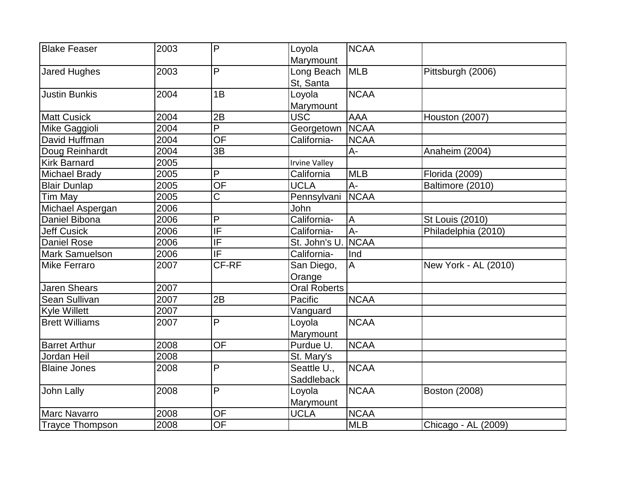| <b>Blake Feaser</b>    | 2003 | P                        | Loyola               | <b>NCAA</b>    |                        |
|------------------------|------|--------------------------|----------------------|----------------|------------------------|
|                        |      |                          | <b>Marymount</b>     |                |                        |
| <b>Jared Hughes</b>    | 2003 | P                        | Long Beach           | <b>MLB</b>     | Pittsburgh (2006)      |
|                        |      |                          | St, Santa            |                |                        |
| <b>Justin Bunkis</b>   | 2004 | 1B                       | Loyola               | <b>NCAA</b>    |                        |
|                        |      |                          | <b>Marymount</b>     |                |                        |
| <b>Matt Cusick</b>     | 2004 | 2B                       | <b>USC</b>           | <b>AAA</b>     | Houston (2007)         |
| Mike Gaggioli          | 2004 | $\overline{P}$           | Georgetown           | <b>NCAA</b>    |                        |
| David Huffman          | 2004 | <b>OF</b>                | California-          | <b>NCAA</b>    |                        |
| Doug Reinhardt         | 2004 | 3B                       |                      | $A -$          | Anaheim (2004)         |
| <b>Kirk Barnard</b>    | 2005 |                          | <b>Irvine Valley</b> |                |                        |
| <b>Michael Brady</b>   | 2005 | P                        | California           | <b>MLB</b>     | Florida (2009)         |
| <b>Blair Dunlap</b>    | 2005 | <b>OF</b>                | <b>UCLA</b>          | $A -$          | Baltimore (2010)       |
| Tim May                | 2005 | $\overline{\text{C}}$    | Pennsylvani          | <b>NCAA</b>    |                        |
| Michael Aspergan       | 2006 |                          | John                 |                |                        |
| Daniel Bibona          | 2006 | P                        | California-          | $\overline{A}$ | <b>St Louis (2010)</b> |
| <b>Jeff Cusick</b>     | 2006 | $\overline{\mathsf{IF}}$ | California-          | $A -$          | Philadelphia (2010)    |
| Daniel Rose            | 2006 | IF                       | St. John's U.        | <b>NCAA</b>    |                        |
| <b>Mark Samuelson</b>  | 2006 | $\overline{\mathsf{IF}}$ | California-          | Ind            |                        |
| <b>Mike Ferraro</b>    | 2007 | CF-RF                    | San Diego,           | $\overline{A}$ | New York - AL (2010)   |
|                        |      |                          | Orange               |                |                        |
| <b>Jaren Shears</b>    | 2007 |                          | <b>Oral Roberts</b>  |                |                        |
| Sean Sullivan          | 2007 | 2B                       | Pacific              | <b>NCAA</b>    |                        |
| <b>Kyle Willett</b>    | 2007 |                          | Vanguard             |                |                        |
| <b>Brett Williams</b>  | 2007 | P                        | Loyola               | <b>NCAA</b>    |                        |
|                        |      |                          | Marymount            |                |                        |
| <b>Barret Arthur</b>   | 2008 | <b>OF</b>                | Purdue U.            | <b>NCAA</b>    |                        |
| Jordan Heil            | 2008 |                          | St. Mary's           |                |                        |
| <b>Blaine Jones</b>    | 2008 | P                        | Seattle U.,          | <b>NCAA</b>    |                        |
|                        |      |                          | Saddleback           |                |                        |
| John Lally             | 2008 | P                        | Loyola               | <b>NCAA</b>    | <b>Boston (2008)</b>   |
|                        |      |                          | Marymount            |                |                        |
| <b>Marc Navarro</b>    | 2008 | <b>OF</b>                | <b>UCLA</b>          | <b>NCAA</b>    |                        |
| <b>Trayce Thompson</b> | 2008 | $\overline{OF}$          |                      | <b>MLB</b>     | Chicago - AL (2009)    |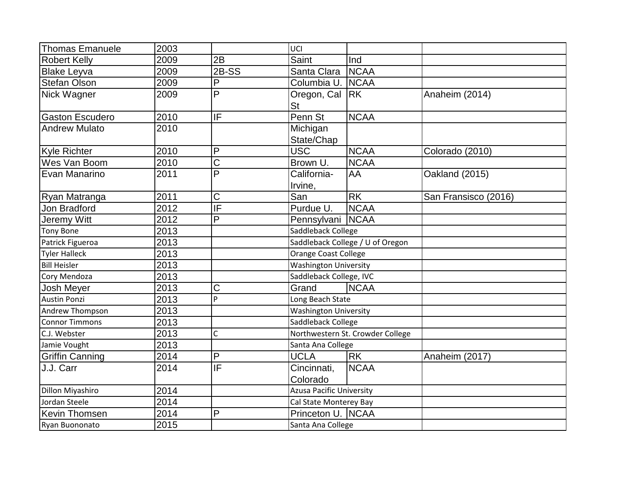| <b>Thomas Emanuele</b> | 2003              |                         | UCI                              |             |                      |
|------------------------|-------------------|-------------------------|----------------------------------|-------------|----------------------|
| <b>Robert Kelly</b>    | 2009              | 2B                      | Saint                            | Ind         |                      |
| <b>Blake Leyva</b>     | 2009              | $2B-SS$                 | Santa Clara                      | <b>NCAA</b> |                      |
| <b>Stefan Olson</b>    | 2009              | P                       | Columbia U.                      | <b>NCAA</b> |                      |
| Nick Wagner            | 2009              | $\overline{\mathsf{P}}$ | Oregon, Cal<br><b>St</b>         | <b>IRK</b>  | Anaheim (2014)       |
| <b>Gaston Escudero</b> | 2010              | IF                      | Penn St                          | <b>NCAA</b> |                      |
| <b>Andrew Mulato</b>   | 2010              |                         | Michigan<br>State/Chap           |             |                      |
| <b>Kyle Richter</b>    | 2010              | P                       | <b>USC</b>                       | <b>NCAA</b> | Colorado (2010)      |
| Wes Van Boom           | 2010              | Ć                       | Brown U.                         | <b>NCAA</b> |                      |
| Evan Manarino          | 2011              | P                       | California-<br>Irvine,           | AA          | Oakland (2015)       |
| Ryan Matranga          | 2011              | $\overline{C}$          | San                              | <b>RK</b>   | San Fransisco (2016) |
| Jon Bradford           | 2012              | ΙF                      | Purdue U.                        | <b>NCAA</b> |                      |
| Jeremy Witt            | 2012              | P                       | Pennsylvani                      | <b>NCAA</b> |                      |
| <b>Tony Bone</b>       | 2013              |                         | Saddleback College               |             |                      |
| Patrick Figueroa       | 2013              |                         | Saddleback College / U of Oregon |             |                      |
| <b>Tyler Halleck</b>   | 2013              |                         | Orange Coast College             |             |                      |
| <b>Bill Heisler</b>    | 2013              |                         | <b>Washington University</b>     |             |                      |
| Cory Mendoza           | 2013              |                         | Saddleback College, IVC          |             |                      |
| Josh Meyer             | 2013              | C                       | <b>NCAA</b><br>Grand             |             |                      |
| <b>Austin Ponzi</b>    | $\overline{2013}$ | P                       | Long Beach State                 |             |                      |
| Andrew Thompson        | 2013              |                         | <b>Washington University</b>     |             |                      |
| <b>Connor Timmons</b>  | 2013              |                         | Saddleback College               |             |                      |
| C.J. Webster           | 2013              | C                       | Northwestern St. Crowder College |             |                      |
| Jamie Vought           | 2013              |                         | Santa Ana College                |             |                      |
| <b>Griffin Canning</b> | 2014              | P                       | <b>UCLA</b>                      | <b>RK</b>   | Anaheim (2017)       |
| J.J. Carr              | 2014              | IF                      | Cincinnati,<br>Colorado          | <b>NCAA</b> |                      |
| Dillon Miyashiro       | 2014              |                         | <b>Azusa Pacific University</b>  |             |                      |
| Jordan Steele          | 2014              |                         | Cal State Monterey Bay           |             |                      |
| Kevin Thomsen          | 2014              | P                       | Princeton U. NCAA                |             |                      |
| Ryan Buononato         | 2015              |                         | Santa Ana College                |             |                      |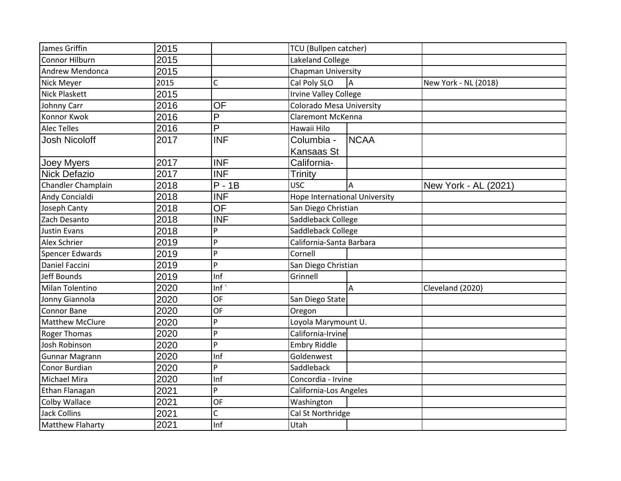| James Griffin           | 2015 |                      | <b>TCU</b> (Bullpen catcher)         |             |                      |
|-------------------------|------|----------------------|--------------------------------------|-------------|----------------------|
| <b>Connor Hilburn</b>   | 2015 |                      | Lakeland College                     |             |                      |
| Andrew Mendonca         | 2015 |                      | Chapman University                   |             |                      |
| Nick Meyer              | 2015 | C                    | Cal Poly SLO                         | A           | New York - NL (2018) |
| <b>Nick Plaskett</b>    | 2015 |                      | <b>Irvine Valley College</b>         |             |                      |
| Johnny Carr             | 2016 | OF                   | <b>Colorado Mesa University</b>      |             |                      |
| Konnor Kwok             | 2016 | P                    | Claremont McKenna                    |             |                      |
| <b>Alec Telles</b>      | 2016 | P                    | Hawaii Hilo                          |             |                      |
| <b>Josh Nicoloff</b>    | 2017 | <b>INF</b>           | Columbia -                           | <b>NCAA</b> |                      |
|                         |      |                      | Kansaas St                           |             |                      |
| Joey Myers              | 2017 | <b>INF</b>           | California-                          |             |                      |
| <b>Nick Defazio</b>     | 2017 | $\overline{\sf INF}$ | Trinity                              |             |                      |
| Chandler Champlain      | 2018 | $P - 1B$             | <b>USC</b>                           | A           | New York - AL (2021) |
| Andy Concialdi          | 2018 | <b>INF</b>           | <b>Hope International University</b> |             |                      |
| Joseph Canty            | 2018 | <b>OF</b>            | San Diego Christian                  |             |                      |
| Zach Desanto            | 2018 | <b>INF</b>           | Saddleback College                   |             |                      |
| <b>Justin Evans</b>     | 2018 | P                    | Saddleback College                   |             |                      |
| <b>Alex Schrier</b>     | 2019 | P                    | California-Santa Barbara             |             |                      |
| <b>Spencer Edwards</b>  | 2019 | P                    | Cornell                              |             |                      |
| Daniel Faccini          | 2019 | P                    | San Diego Christian                  |             |                      |
| Jeff Bounds             | 2019 | Inf                  | Grinnell                             |             |                      |
| Milan Tolentino         | 2020 | Inf                  |                                      | A           | Cleveland (2020}     |
| Jonny Giannola          | 2020 | OF                   | San Diego State                      |             |                      |
| Connor Bane             | 2020 | OF                   | Oregon                               |             |                      |
| <b>Matthew McClure</b>  | 2020 | P                    | Loyola Marymount U.                  |             |                      |
| <b>Roger Thomas</b>     | 2020 | P                    | California-Irvine                    |             |                      |
| Josh Robinson           | 2020 | P                    | <b>Embry Riddle</b>                  |             |                      |
| <b>Gunnar Magrann</b>   | 2020 | Inf                  | Goldenwest                           |             |                      |
| Conor Burdian           | 2020 | P                    | Saddleback                           |             |                      |
| <b>Michael Mira</b>     | 2020 | Inf                  | Concordia - Irvine                   |             |                      |
| Ethan Flanagan          | 2021 | P                    | California-Los Angeles               |             |                      |
| Colby Wallace           | 2021 | OF                   | Washington                           |             |                      |
| <b>Jack Collins</b>     | 2021 | C                    | Cal St Northridge                    |             |                      |
| <b>Matthew Flaharty</b> | 2021 | Inf                  | Utah                                 |             |                      |